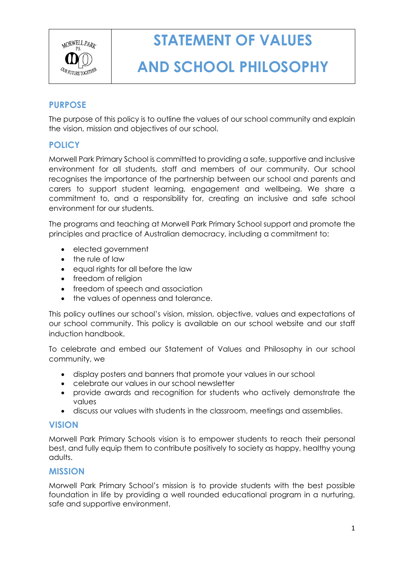

# **STATEMENT OF VALUES**

# **AND SCHOOL PHILOSOPHY**

# **PURPOSE**

The purpose of this policy is to outline the values of our school community and explain the vision, mission and objectives of our school.

# **POLICY**

Morwell Park Primary School is committed to providing a safe, supportive and inclusive environment for all students, staff and members of our community. Our school recognises the importance of the partnership between our school and parents and carers to support student learning, engagement and wellbeing. We share a commitment to, and a responsibility for, creating an inclusive and safe school environment for our students.

The programs and teaching at Morwell Park Primary School support and promote the principles and practice of Australian democracy, including a commitment to:

- elected government
- the rule of law
- equal rights for all before the law
- freedom of religion
- freedom of speech and association
- the values of openness and tolerance.

This policy outlines our school's vision, mission, objective, values and expectations of our school community. This policy is available on our school website and our staff induction handbook.

To celebrate and embed our Statement of Values and Philosophy in our school community, we

- display posters and banners that promote your values in our school
- celebrate our values in our school newsletter
- provide awards and recognition for students who actively demonstrate the values
- discuss our values with students in the classroom, meetings and assemblies.

#### **VISION**

Morwell Park Primary Schools vision is to empower students to reach their personal best, and fully equip them to contribute positively to society as happy, healthy young adults.

#### **MISSION**

Morwell Park Primary School's mission is to provide students with the best possible foundation in life by providing a well rounded educational program in a nurturing, safe and supportive environment.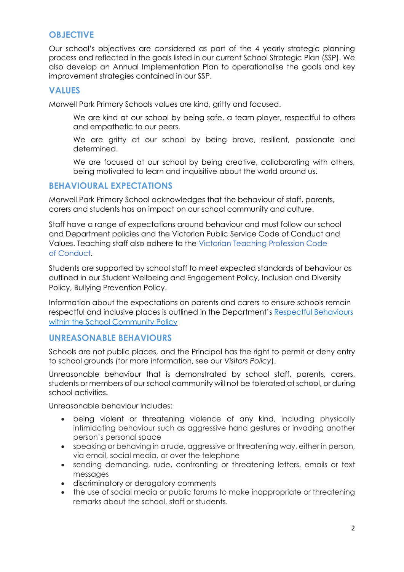# **OBJECTIVE**

Our school's objectives are considered as part of the 4 yearly strategic planning process and reflected in the goals listed in our current School Strategic Plan (SSP). We also develop an Annual Implementation Plan to operationalise the goals and key improvement strategies contained in our SSP.

#### **VALUES**

Morwell Park Primary Schools values are kind, gritty and focused.

- We are kind at our school by being safe, a team player, respectful to others and empathetic to our peers.
- We are gritty at our school by being brave, resilient, passionate and determined.

We are focused at our school by being creative, collaborating with others, being motivated to learn and inquisitive about the world around us.

# **BEHAVIOURAL EXPECTATIONS**

Morwell Park Primary School acknowledges that the behaviour of staff, parents, carers and students has an impact on our school community and culture.

Staff have a range of expectations around behaviour and must follow our school and Department policies and the Victorian Public Service Code of Conduct and Values. Teaching staff also adhere to the [Victorian Teaching Profession Code](https://aus01.safelinks.protection.outlook.com/?url=https%3A%2F%2Fwww.vit.vic.edu.au%2F__data%2Fassets%2Fpdf_file%2F0018%2F35604%2FCode-of-Conduct-2016.pdf&data=04%7C01%7CDanica.Murfett%40education.vic.gov.au%7Cb43d1afd7ebb473c81e508d981873340%7Cd96cb3371a8744cfb69b3cec334a4c1f%7C0%7C0%7C637683239979128787%7CUnknown%7CTWFpbGZsb3d8eyJWIjoiMC4wLjAwMDAiLCJQIjoiV2luMzIiLCJBTiI6Ik1haWwiLCJXVCI6Mn0%3D%7C1000&sdata=heJJ%2BZ8GEARC17dMHn1KSHr7h71dVWpSqPJTehqiq0c%3D&reserved=0)  of [Conduct.](https://aus01.safelinks.protection.outlook.com/?url=https%3A%2F%2Fwww.vit.vic.edu.au%2F__data%2Fassets%2Fpdf_file%2F0018%2F35604%2FCode-of-Conduct-2016.pdf&data=04%7C01%7CDanica.Murfett%40education.vic.gov.au%7Cb43d1afd7ebb473c81e508d981873340%7Cd96cb3371a8744cfb69b3cec334a4c1f%7C0%7C0%7C637683239979128787%7CUnknown%7CTWFpbGZsb3d8eyJWIjoiMC4wLjAwMDAiLCJQIjoiV2luMzIiLCJBTiI6Ik1haWwiLCJXVCI6Mn0%3D%7C1000&sdata=heJJ%2BZ8GEARC17dMHn1KSHr7h71dVWpSqPJTehqiq0c%3D&reserved=0)

Students are supported by school staff to meet expected standards of behaviour as outlined in our Student Wellbeing and Engagement Policy, Inclusion and Diversity Policy, Bullying Prevention Policy.

Information about the expectations on parents and carers to ensure schools remain respectful and inclusive places is outlined in the Department's [Respectful Behaviours](https://www.education.vic.gov.au/Pages/Respectful-Behaviours-within-the-School-Community-Policy.aspx)  [within the School Community Policy](https://www.education.vic.gov.au/Pages/Respectful-Behaviours-within-the-School-Community-Policy.aspx)

#### **UNREASONABLE BEHAVIOURS**

Schools are not public places, and the Principal has the right to permit or deny entry to school grounds (for more information, see our *Visitors Policy*).

Unreasonable behaviour that is demonstrated by school staff, parents, carers, students or members of our school community will not be tolerated at school, or during school activities.

Unreasonable behaviour includes:

- being violent or threatening violence of any kind, including physically intimidating behaviour such as aggressive hand gestures or invading another person's personal space
- speaking or behaving in a rude, aggressive or threatening way, either in person, via email, social media, or over the telephone
- sending demanding, rude, confronting or threatening letters, emails or text messages
- discriminatory or derogatory comments
- the use of social media or public forums to make inappropriate or threatening remarks about the school, staff or students.